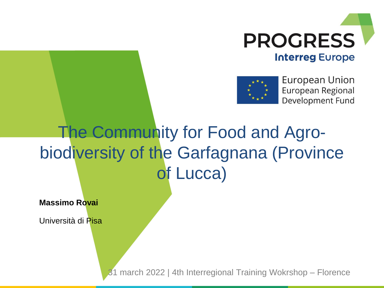



European Union European Regional Development Fund

## The Community for Food and Agrobiodiversity of the Garfagnana (Province of Lucca)

**Massimo Rovai**

Università di Pisa

31 march 2022 | 4th Interregional Training Wokrshop – Florence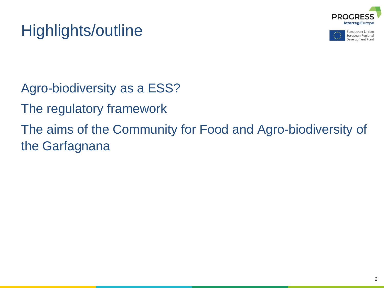





Agro-biodiversity as a ESS?

The regulatory framework

The aims of the Community for Food and Agro-biodiversity of the Garfagnana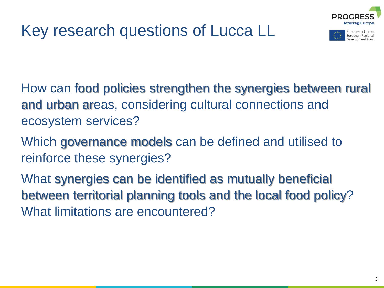



How can food policies strengthen the synergies between rural and urban areas, considering cultural connections and ecosystem services?

Which governance models can be defined and utilised to reinforce these synergies?

What synergies can be identified as mutually beneficial between territorial planning tools and the local food policy? What limitations are encountered?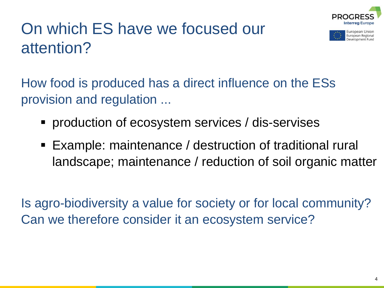

European Regiona

## On which ES have we focused our attention?

How food is produced has a direct influence on the ESs provision and regulation ...

- **PEDECITEL Production of ecosystem services / dis-servises**
- Example: maintenance / destruction of traditional rural landscape; maintenance / reduction of soil organic matter

Is agro-biodiversity a value for society or for local community? Can we therefore consider it an ecosystem service?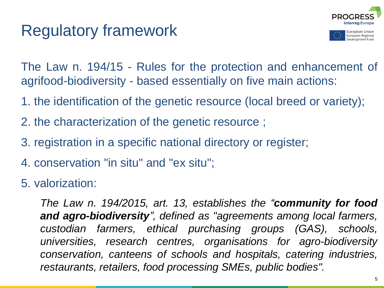#### Regulatory framework



The Law n. 194/15 - Rules for the protection and enhancement of agrifood-biodiversity - based essentially on five main actions:

- 1. the identification of the genetic resource (local breed or variety);
- 2. the characterization of the genetic resource ;
- 3. registration in a specific national directory or register;
- 4. conservation "in situ" and "ex situ";

5. valorization:

*The Law n. 194/2015, art. 13, establishes the "community for food and agro-biodiversity", defined as "agreements among local farmers, custodian farmers, ethical purchasing groups (GAS), schools, universities, research centres, organisations for agro-biodiversity conservation, canteens of schools and hospitals, catering industries, restaurants, retailers, food processing SMEs, public bodies".*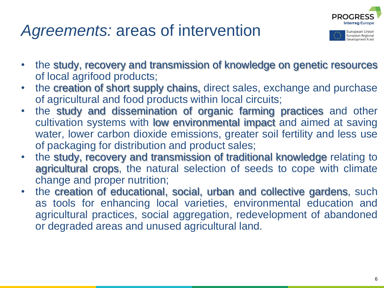#### *Agreements:* areas of intervention



European Regional evelopment Fund

- the study, recovery and transmission of knowledge on genetic resources of local agrifood products;
- the creation of short supply chains, direct sales, exchange and purchase of agricultural and food products within local circuits;
- the study and dissemination of organic farming practices and other cultivation systems with low environmental impact and aimed at saving water, lower carbon dioxide emissions, greater soil fertility and less use of packaging for distribution and product sales;
- the study, recovery and transmission of traditional knowledge relating to agricultural crops, the natural selection of seeds to cope with climate change and proper nutrition;
- the creation of educational, social, urban and collective gardens, such as tools for enhancing local varieties, environmental education and agricultural practices, social aggregation, redevelopment of abandoned or degraded areas and unused agricultural land.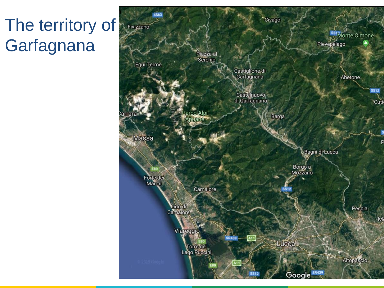# The territory of **Garfagnana**

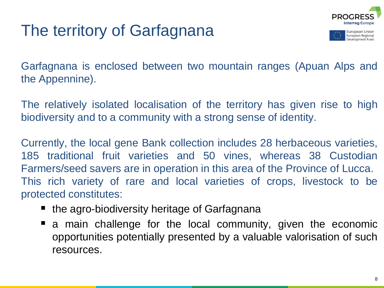## The territory of Garfagnana



evelopment Fund

Garfagnana is enclosed between two mountain ranges (Apuan Alps and the Appennine).

The relatively isolated localisation of the territory has given rise to high biodiversity and to a community with a strong sense of identity.

Currently, the local gene Bank collection includes 28 herbaceous varieties, 185 traditional fruit varieties and 50 vines, whereas 38 Custodian Farmers/seed savers are in operation in this area of the Province of Lucca. This rich variety of rare and local varieties of crops, livestock to be protected constitutes:

- $\blacksquare$  the agro-biodiversity heritage of Garfagnana
- a main challenge for the local community, given the economic opportunities potentially presented by a valuable valorisation of such resources.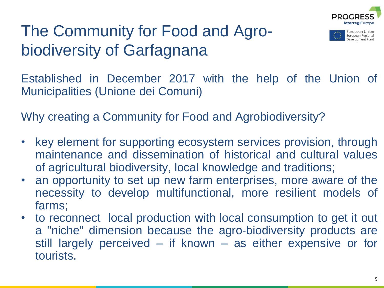

European Regional evelopment Func

#### The Community for Food and Agrobiodiversity of Garfagnana

Established in December 2017 with the help of the Union of Municipalities (Unione dei Comuni)

Why creating a Community for Food and Agrobiodiversity?

- key element for supporting ecosystem services provision, through maintenance and dissemination of historical and cultural values of agricultural biodiversity, local knowledge and traditions;
- an opportunity to set up new farm enterprises, more aware of the necessity to develop multifunctional, more resilient models of farms;
- to reconnect local production with local consumption to get it out a "niche" dimension because the agro-biodiversity products are still largely perceived – if known – as either expensive or for tourists.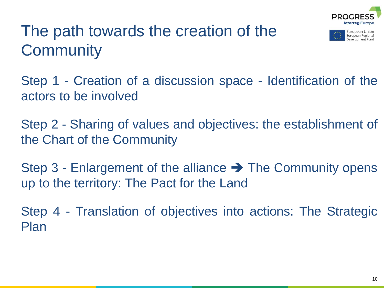

European Regional

### The path towards the creation of the **Community**

Step 1 - Creation of a discussion space - Identification of the actors to be involved

Step 2 - Sharing of values and objectives: the establishment of the Chart of the Community

Step 3 - Enlargement of the alliance  $\rightarrow$  The Community opens up to the territory: The Pact for the Land

Step 4 - Translation of objectives into actions: The Strategic Plan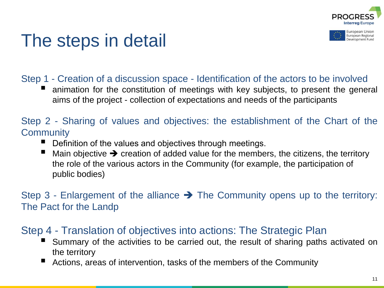

European Regional

## The steps in detail

#### Step 1 - Creation of a discussion space - Identification of the actors to be involved

 animation for the constitution of meetings with key subjects, to present the general aims of the project - collection of expectations and needs of the participants

#### Step 2 - Sharing of values and objectives: the establishment of the Chart of the **Community**

- Definition of the values and objectives through meetings.
- Main objective  $\rightarrow$  creation of added value for the members, the citizens, the territory the role of the various actors in the Community (for example, the participation of public bodies)

Step 3 - Enlargement of the alliance  $\rightarrow$  The Community opens up to the territory: The Pact for the Landp

#### Step 4 - Translation of objectives into actions: The Strategic Plan

- Summary of the activities to be carried out, the result of sharing paths activated on the territory
- Actions, areas of intervention, tasks of the members of the Community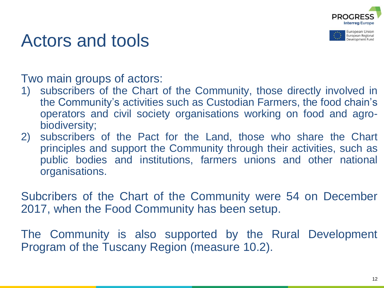



#### Actors and tools

Two main groups of actors:

- 1) subscribers of the Chart of the Community, those directly involved in the Community's activities such as Custodian Farmers, the food chain's operators and civil society organisations working on food and agrobiodiversity;
- 2) subscribers of the Pact for the Land, those who share the Chart principles and support the Community through their activities, such as public bodies and institutions, farmers unions and other national organisations.

Subcribers of the Chart of the Community were 54 on December 2017, when the Food Community has been setup.

The Community is also supported by the Rural Development Program of the Tuscany Region (measure 10.2).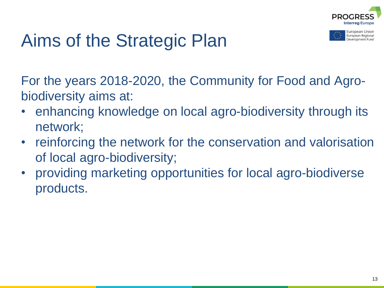

European Union European Regional evelopment Fund

# Aims of the Strategic Plan

For the years 2018-2020, the Community for Food and Agrobiodiversity aims at:

- enhancing knowledge on local agro-biodiversity through its network;
- reinforcing the network for the conservation and valorisation of local agro-biodiversity;
- providing marketing opportunities for local agro-biodiverse products.